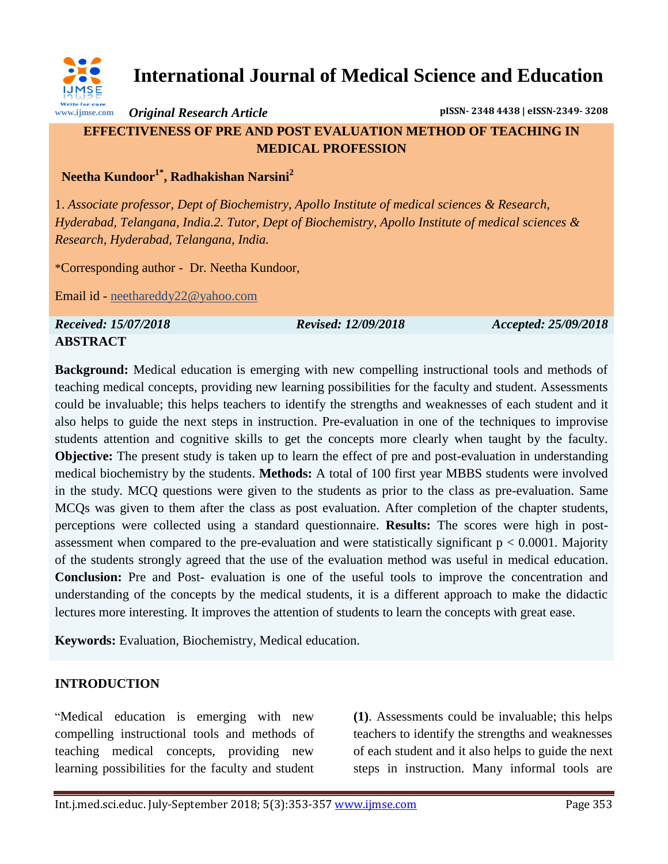

**International Journal of Medical Science and Education**

*Original Research Article* **pISSN- 2348 4438 | eISSN-2349- 3208**

# **EFFECTIVENESS OF PRE AND POST EVALUATION METHOD OF TEACHING IN MEDICAL PROFESSION**

 **Neetha Kundoor1\* , Radhakishan Narsini<sup>2</sup>**

1. *Associate professor, Dept of Biochemistry, Apollo Institute of medical sciences & Research, Hyderabad, Telangana, India.2. Tutor, Dept of Biochemistry, Apollo Institute of medical sciences & Research, Hyderabad, Telangana, India.*

\*Corresponding author - Dr. Neetha Kundoor,

Email id - [neethareddy22@yahoo.com](mailto:neethareddy22@yahoo.com)

*Received: 15/07/2018 Revised: 12/09/2018 Accepted: 25/09/2018* **ABSTRACT**

**Background:** Medical education is emerging with new compelling instructional tools and methods of teaching medical concepts, providing new learning possibilities for the faculty and student. Assessments could be invaluable; this helps teachers to identify the strengths and weaknesses of each student and it also helps to guide the next steps in instruction. Pre-evaluation in one of the techniques to improvise students attention and cognitive skills to get the concepts more clearly when taught by the faculty. **Objective:** The present study is taken up to learn the effect of pre and post-evaluation in understanding medical biochemistry by the students. **Methods:** A total of 100 first year MBBS students were involved in the study. MCQ questions were given to the students as prior to the class as pre-evaluation. Same MCQs was given to them after the class as post evaluation. After completion of the chapter students, perceptions were collected using a standard questionnaire. **Results:** The scores were high in postassessment when compared to the pre-evaluation and were statistically significant  $p < 0.0001$ . Majority of the students strongly agreed that the use of the evaluation method was useful in medical education. **Conclusion:** Pre and Post- evaluation is one of the useful tools to improve the concentration and understanding of the concepts by the medical students, it is a different approach to make the didactic lectures more interesting. It improves the attention of students to learn the concepts with great ease.

**Keywords:** Evaluation, Biochemistry, Medical education.

## **INTRODUCTION**

"Medical education is emerging with new compelling instructional tools and methods of teaching medical concepts, providing new learning possibilities for the faculty and student **(1)**. Assessments could be invaluable; this helps teachers to identify the strengths and weaknesses of each student and it also helps to guide the next steps in instruction. Many informal tools are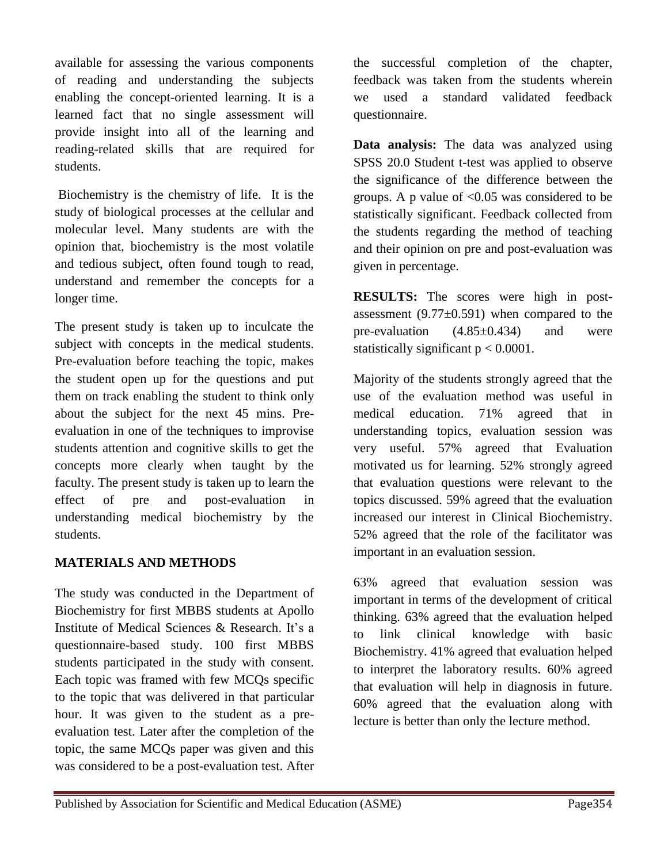available for assessing the various components of reading and understanding the subjects enabling the concept-oriented learning. It is a learned fact that no single assessment will provide insight into all of the learning and reading-related skills that are required for students.

Biochemistry is the chemistry of life. It is the study of biological processes at the cellular and molecular level. Many students are with the opinion that, biochemistry is the most volatile and tedious subject, often found tough to read, understand and remember the concepts for a longer time.

The present study is taken up to inculcate the subject with concepts in the medical students. Pre-evaluation before teaching the topic, makes the student open up for the questions and put them on track enabling the student to think only about the subject for the next 45 mins. Preevaluation in one of the techniques to improvise students attention and cognitive skills to get the concepts more clearly when taught by the faculty. The present study is taken up to learn the effect of pre and post-evaluation in understanding medical biochemistry by the students.

## **MATERIALS AND METHODS**

The study was conducted in the Department of Biochemistry for first MBBS students at Apollo Institute of Medical Sciences & Research. It's a questionnaire-based study. 100 first MBBS students participated in the study with consent. Each topic was framed with few MCQs specific to the topic that was delivered in that particular hour. It was given to the student as a preevaluation test. Later after the completion of the topic, the same MCQs paper was given and this was considered to be a post-evaluation test. After

the successful completion of the chapter, feedback was taken from the students wherein we used a standard validated feedback questionnaire.

**Data analysis:** The data was analyzed using SPSS 20.0 Student t-test was applied to observe the significance of the difference between the groups. A p value of  $< 0.05$  was considered to be statistically significant. Feedback collected from the students regarding the method of teaching and their opinion on pre and post-evaluation was given in percentage.

**RESULTS:** The scores were high in postassessment  $(9.77\pm0.591)$  when compared to the pre-evaluation  $(4.85\pm0.434)$  and were statistically significant  $p < 0.0001$ .

Majority of the students strongly agreed that the use of the evaluation method was useful in medical education. 71% agreed that in understanding topics, evaluation session was very useful. 57% agreed that Evaluation motivated us for learning. 52% strongly agreed that evaluation questions were relevant to the topics discussed. 59% agreed that the evaluation increased our interest in Clinical Biochemistry. 52% agreed that the role of the facilitator was important in an evaluation session.

63% agreed that evaluation session was important in terms of the development of critical thinking. 63% agreed that the evaluation helped to link clinical knowledge with basic Biochemistry. 41% agreed that evaluation helped to interpret the laboratory results. 60% agreed that evaluation will help in diagnosis in future. 60% agreed that the evaluation along with lecture is better than only the lecture method.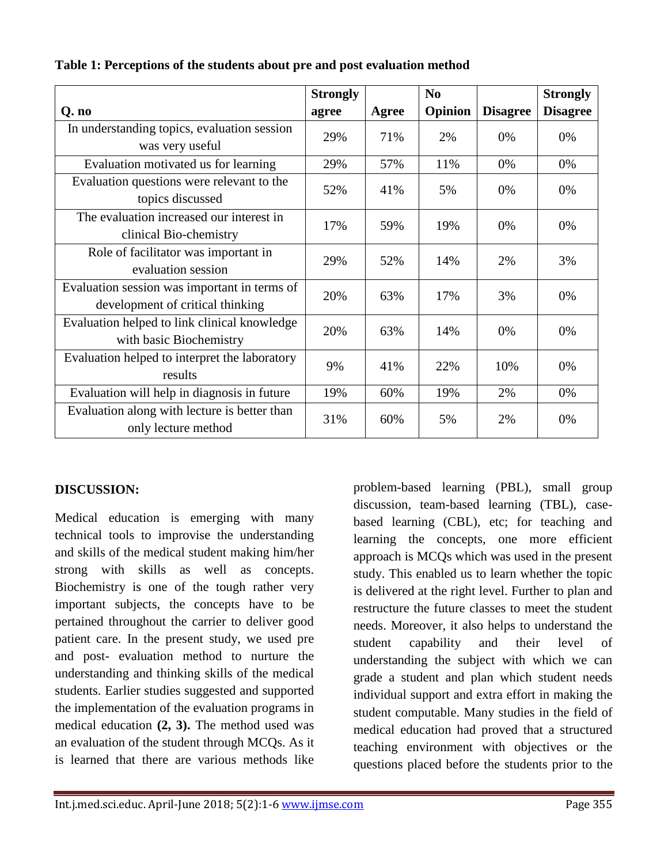|                                                                                  | <b>Strongly</b> |              | N <sub>0</sub> |                 | <b>Strongly</b> |
|----------------------------------------------------------------------------------|-----------------|--------------|----------------|-----------------|-----------------|
| Q. no                                                                            | agree           | <b>Agree</b> | Opinion        | <b>Disagree</b> | <b>Disagree</b> |
| In understanding topics, evaluation session<br>was very useful                   | 29%             | 71%          | 2%             | 0%              | 0%              |
| Evaluation motivated us for learning                                             | 29%             | 57%          | 11%            | 0%              | 0%              |
| Evaluation questions were relevant to the<br>topics discussed                    | 52%             | 41%          | 5%             | 0%              | 0%              |
| The evaluation increased our interest in<br>clinical Bio-chemistry               | 17%             | 59%          | 19%            | 0%              | 0%              |
| Role of facilitator was important in<br>evaluation session                       | 29%             | 52%          | 14%            | 2%              | 3%              |
| Evaluation session was important in terms of<br>development of critical thinking | 20%             | 63%          | 17%            | 3%              | 0%              |
| Evaluation helped to link clinical knowledge<br>with basic Biochemistry          | 20%             | 63%          | 14%            | 0%              | 0%              |
| Evaluation helped to interpret the laboratory<br>results                         | 9%              | 41%          | 22%            | 10%             | 0%              |
| Evaluation will help in diagnosis in future                                      | 19%             | 60%          | 19%            | 2%              | 0%              |
| Evaluation along with lecture is better than<br>only lecture method              | 31%             | 60%          | 5%             | 2%              | 0%              |

### **Table 1: Perceptions of the students about pre and post evaluation method**

#### **DISCUSSION:**

Medical education is emerging with many technical tools to improvise the understanding and skills of the medical student making him/her strong with skills as well as concepts. Biochemistry is one of the tough rather very important subjects, the concepts have to be pertained throughout the carrier to deliver good patient care. In the present study, we used pre and post- evaluation method to nurture the understanding and thinking skills of the medical students. Earlier studies suggested and supported the implementation of the evaluation programs in medical education **(2, 3).** The method used was an evaluation of the student through MCQs. As it is learned that there are various methods like

problem-based learning (PBL), small group discussion, team-based learning (TBL), casebased learning (CBL), etc; for teaching and learning the concepts, one more efficient approach is MCQs which was used in the present study. This enabled us to learn whether the topic is delivered at the right level. Further to plan and restructure the future classes to meet the student needs. Moreover, it also helps to understand the student capability and their level of understanding the subject with which we can grade a student and plan which student needs individual support and extra effort in making the student computable. Many studies in the field of medical education had proved that a structured teaching environment with objectives or the questions placed before the students prior to the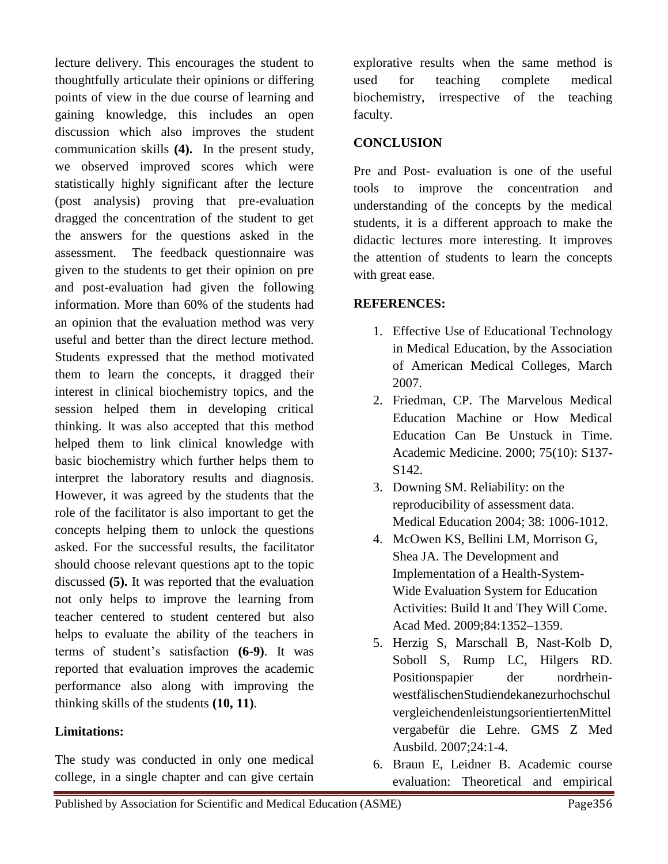lecture delivery. This encourages the student to thoughtfully articulate their opinions or differing points of view in the due course of learning and gaining knowledge, this includes an open discussion which also improves the student communication skills **(4).** In the present study, we observed improved scores which were statistically highly significant after the lecture (post analysis) proving that pre-evaluation dragged the concentration of the student to get the answers for the questions asked in the assessment. The feedback questionnaire was given to the students to get their opinion on pre and post-evaluation had given the following information. More than 60% of the students had an opinion that the evaluation method was very useful and better than the direct lecture method. Students expressed that the method motivated them to learn the concepts, it dragged their interest in clinical biochemistry topics, and the session helped them in developing critical thinking. It was also accepted that this method helped them to link clinical knowledge with basic biochemistry which further helps them to interpret the laboratory results and diagnosis. However, it was agreed by the students that the role of the facilitator is also important to get the concepts helping them to unlock the questions asked. For the successful results, the facilitator should choose relevant questions apt to the topic discussed **(5).** It was reported that the evaluation not only helps to improve the learning from teacher centered to student centered but also helps to evaluate the ability of the teachers in terms of student's satisfaction **(6-9)**. It was reported that evaluation improves the academic performance also along with improving the thinking skills of the students **(10, 11)**.

#### **Limitations:**

The study was conducted in only one medical college, in a single chapter and can give certain explorative results when the same method is used for teaching complete medical biochemistry, irrespective of the teaching faculty.

### **CONCLUSION**

Pre and Post- evaluation is one of the useful tools to improve the concentration and understanding of the concepts by the medical students, it is a different approach to make the didactic lectures more interesting. It improves the attention of students to learn the concepts with great ease.

## **REFERENCES:**

- 1. Effective Use of Educational Technology in Medical Education, by the Association of American Medical Colleges, March 2007.
- 2. Friedman, CP. The Marvelous Medical Education Machine or How Medical Education Can Be Unstuck in Time. Academic Medicine. 2000; 75(10): S137- S142.
- 3. Downing SM. Reliability: on the reproducibility of assessment data. Medical Education 2004; 38: 1006-1012.
- 4. McOwen KS, Bellini LM, Morrison G, Shea JA. The Development and Implementation of a Health-System-Wide Evaluation System for Education Activities: Build It and They Will Come. Acad Med. 2009;84:1352–1359.
- 5. Herzig S, Marschall B, Nast-Kolb D, Soboll S, Rump LC, Hilgers RD. Positionspapier der nordrheinwestfälischenStudiendekanezurhochschul vergleichendenleistungsorientiertenMittel vergabefür die Lehre. GMS Z Med Ausbild. 2007;24:1-4.
- 6. Braun E, Leidner B. Academic course evaluation: Theoretical and empirical